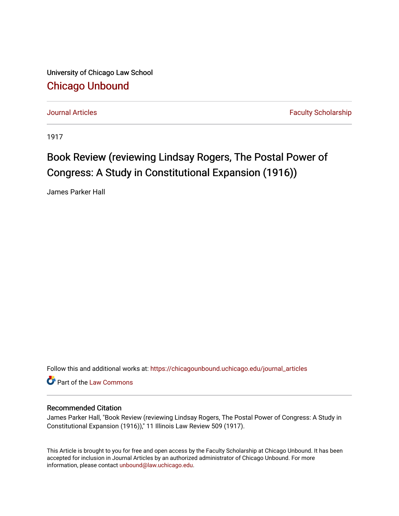University of Chicago Law School [Chicago Unbound](https://chicagounbound.uchicago.edu/)

[Journal Articles](https://chicagounbound.uchicago.edu/journal_articles) **Faculty Scholarship Journal Articles** 

1917

## Book Review (reviewing Lindsay Rogers, The Postal Power of Congress: A Study in Constitutional Expansion (1916))

James Parker Hall

Follow this and additional works at: [https://chicagounbound.uchicago.edu/journal\\_articles](https://chicagounbound.uchicago.edu/journal_articles?utm_source=chicagounbound.uchicago.edu%2Fjournal_articles%2F8948&utm_medium=PDF&utm_campaign=PDFCoverPages) 

Part of the [Law Commons](http://network.bepress.com/hgg/discipline/578?utm_source=chicagounbound.uchicago.edu%2Fjournal_articles%2F8948&utm_medium=PDF&utm_campaign=PDFCoverPages)

## Recommended Citation

James Parker Hall, "Book Review (reviewing Lindsay Rogers, The Postal Power of Congress: A Study in Constitutional Expansion (1916))," 11 Illinois Law Review 509 (1917).

This Article is brought to you for free and open access by the Faculty Scholarship at Chicago Unbound. It has been accepted for inclusion in Journal Articles by an authorized administrator of Chicago Unbound. For more information, please contact [unbound@law.uchicago.edu](mailto:unbound@law.uchicago.edu).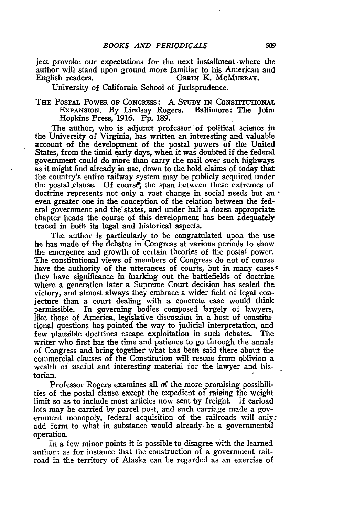ject provoke our expectations for the next installment where the author will stand upon ground more familiar to his American and English readers.<br>CRRIN K. McMURRAY. ORRIN K. McMURRAY.

University of California School of Jurisprudence.

THE POSTAL POWER OF CONGRESS: A STUDY IN CONSTITUTIONAL EXPANSION. By Lindsay Rogers. Baltimore: The John Hopkins Press, 1916. Pp. 189.

The author, who is adjunct professor of political science in the University of Virginia, has written an interesting and valuable account of the development of the postal powers of the United States, from the timid **early** days, when it was doubted if the federal government could do more than carry the mail over such highways as it might find already in use, down to the bold claims of today that the country's entire railway system may be publicly acquired under the postal .clause. **Of** course, the span between these extremes of doctrine represents not only a vast change in social needs but an **•** even greater one in the conception of the relation between the federal government and the states, and under half a dozen appropriate chapter heads the course of this development has been adequately traced in both its legal and historical aspects.

The author is particularly to be congratulated upon the use he has made of the debates in Congress at various periods to show the emergence and growth of certain theories of the postal power. The constitutional views of members of Congress do not of course have the authority of the utterances of courts, but in many cases  $\epsilon$ they have significance in inarking out the battlefields of doctrine where a generation later a Supreme Court decision has sealed the victory, and almost always they embrace a wider field of legal conjecture than a court dealing with a concrete case would think permissible. In governing bodies composed largely of lawyers, like those of America, legislative discussion in a host of constitutional questions has pointed the way to judicial interpretation, and few plausible doctrines escape exploitation in such debates. The writer who first has the time and patience to go through the annals of Congress and bring together what has been said there about the commercial clauses of the Constitution will rescue from oblivion a wealth of useful and interesting material for the lawyer and historian.

Professor Rogers examines all **of** the more.promising possibilities of the postal clause except the expedient of raising the weight limit so as to include most articles now sent by freight. If carload lots may be carried by parcel post, and such carriage made a government monopoly, federal acquisition of the railroads will only. add form to what in substance would already be a governmental operation.

In a few minor points it is possible to disagree with the learned author: as for instance that the construction of a government railroad in the territory of Alaska can be regarded as an exercise of